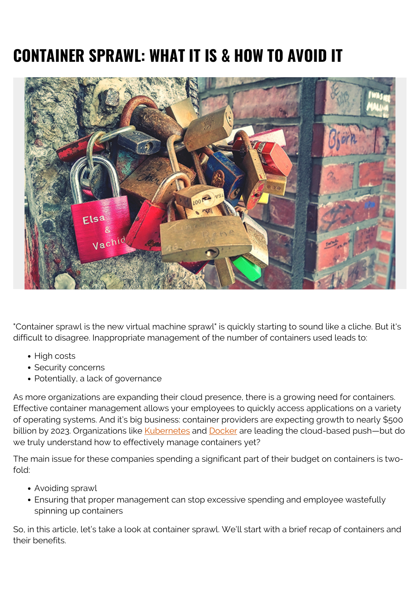# **CONTAINER SPRAWL: WHAT IT IS & HOW TO AVOID IT**



"Container sprawl is the new virtual machine sprawl" is quickly starting to sound like a cliche. But it's difficult to disagree. Inappropriate management of the number of containers used leads to:

- High costs
- Security concerns
- Potentially, a lack of governance

As more organizations are expanding their cloud presence, there is a growing need for containers. Effective container management allows your employees to quickly access applications on a variety of operating systems. And it's big business: container providers are expecting growth to nearly \$500 billion by 2023. Organizations like [Kubernetes](https://blogs.bmc.com/blogs/what-is-kubernetes) and [Docker](https://blogs.bmc.com/blogs/docker-101-introduction/) are leading the cloud-based push-but do we truly understand how to effectively manage containers yet?

The main issue for these companies spending a significant part of their budget on containers is twofold:

- Avoiding sprawl
- Ensuring that proper management can stop excessive spending and employee wastefully spinning up containers

So, in this article, let's take a look at container sprawl. We'll start with a brief recap of containers and their benefits.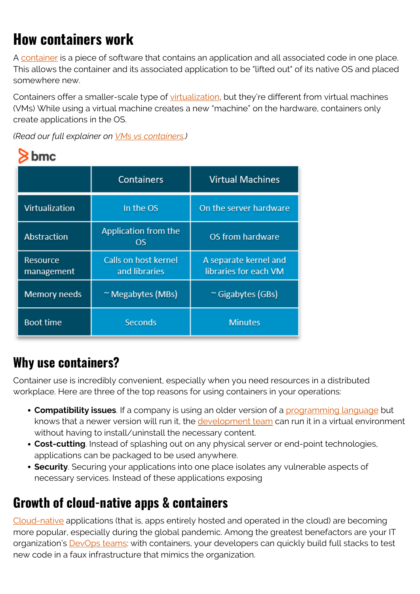# **How containers work**

A [container](https://blogs.bmc.com/blogs/what-is-a-container-containerization-explained/) is a piece of software that contains an application and all associated code in one place. This allows the container and its associated application to be "lifted out" of its native OS and placed somewhere new.

Containers offer a smaller-scale type of [virtualization](https://blogs.bmc.com/blogs/it-virtualization/), but they're different from virtual machines (VMs) While using a virtual machine creates a new "machine" on the hardware, containers only create applications in the OS.

*(Read our full explainer on [VMs vs containers](https://blogs.bmc.com/blogs/containers-vs-virtual-machines/).)*

|--|

|                        | <b>Containers</b>                     | <b>Virtual Machines</b>                        |
|------------------------|---------------------------------------|------------------------------------------------|
| Virtualization         | In the OS                             | On the server hardware                         |
| Abstraction            | Application from the<br>OS            | OS from hardware                               |
| Resource<br>management | Calls on host kernel<br>and libraries | A separate kernel and<br>libraries for each VM |
| Memory needs           | $~\sim$ Megabytes (MBs)               | ~ Gigabytes (GBs)                              |
| <b>Boot time</b>       | <b>Seconds</b>                        | <b>Minutes</b>                                 |

#### **Why use containers?**

Container use is incredibly convenient, especially when you need resources in a distributed workplace. Here are three of the top reasons for using containers in your operations:

- **Compatibility issues**. If a company is using an older version of a *programming language* but knows that a newer version will run it, the [development team](https://blogs.bmc.com/blogs/it-teams/) can run it in a virtual environment without having to install/uninstall the necessary content.
- **Cost-cutting**. Instead of splashing out on any physical server or end-point technologies, applications can be packaged to be used anywhere.
- **Security**. Securing your applications into one place isolates any vulnerable aspects of necessary services. Instead of these applications exposing

## **Growth of cloud-native apps & containers**

[Cloud-native](https://blogs.bmc.com/blogs/getting-started-cloud-native-applications/) applications (that is, apps entirely hosted and operated in the cloud) are becoming more popular, especially during the global pandemic. Among the greatest benefactors are your IT organization's **DevOps teams**: with containers, your developers can quickly build full stacks to test new code in a faux infrastructure that mimics the organization.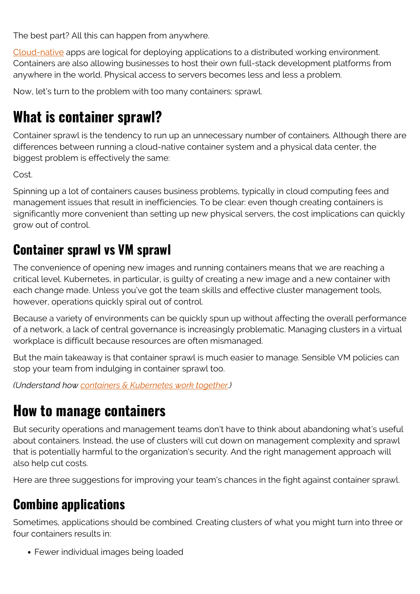The best part? All this can happen from anywhere.

[Cloud-native](https://blogs.bmc.com/blogs/getting-started-cloud-native-applications/) apps are logical for deploying applications to a distributed working environment. Containers are also allowing businesses to host their own full-stack development platforms from anywhere in the world. Physical access to servers becomes less and less a problem.

Now, let's turn to the problem with too many containers: sprawl.

## **What is container sprawl?**

Container sprawl is the tendency to run up an unnecessary number of containers. Although there are differences between running a cloud-native container system and a physical data center, the biggest problem is effectively the same:

Cost.

Spinning up a lot of containers causes business problems, typically in cloud computing fees and management issues that result in inefficiencies. To be clear: even though creating containers is significantly more convenient than setting up new physical servers, the cost implications can quickly grow out of control.

#### **Container sprawl vs VM sprawl**

The convenience of opening new images and running containers means that we are reaching a critical level. Kubernetes, in particular, is guilty of creating a new image and a new container with each change made. Unless you've got the team skills and effective cluster management tools, however, operations quickly spiral out of control.

Because a variety of environments can be quickly spun up without affecting the overall performance of a network, a lack of central governance is increasingly problematic. Managing clusters in a virtual workplace is difficult because resources are often mismanaged.

But the main takeaway is that container sprawl is much easier to manage. Sensible VM policies can stop your team from indulging in container sprawl too.

*(Understand how [containers & Kubernetes work together](https://blogs.bmc.com/blogs/containers-vs-kubernetes/).)*

### **How to manage containers**

But security operations and management teams don't have to think about abandoning what's useful about containers. Instead, the use of clusters will cut down on management complexity and sprawl that is potentially harmful to the organization's security. And the right management approach will also help cut costs.

Here are three suggestions for improving your team's chances in the fight against container sprawl.

### **Combine applications**

Sometimes, applications should be combined. Creating clusters of what you might turn into three or four containers results in:

Fewer individual images being loaded